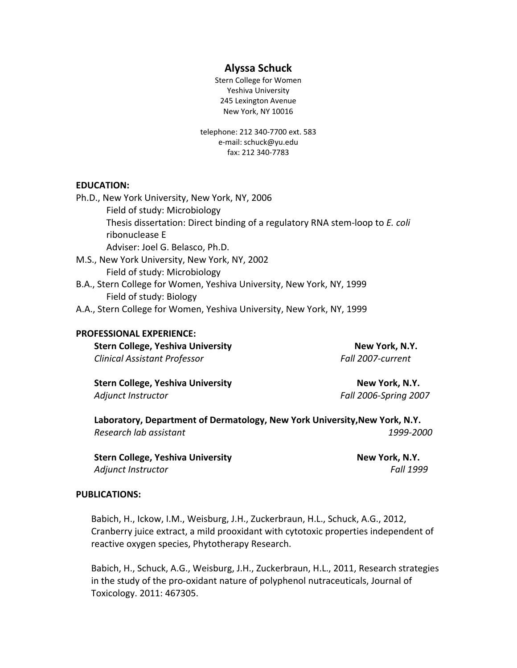# **Alyssa Schuck**

Stern College for Women Yeshiva University 245 Lexington Avenue New York, NY 10016

telephone: 212 340‐7700 ext. 583 e‐mail: schuck@yu.edu fax: 212 340‐7783

### **EDUCATION:**

| Ph.D., New York University, New York, NY, 2006                               |
|------------------------------------------------------------------------------|
| Field of study: Microbiology                                                 |
| Thesis dissertation: Direct binding of a regulatory RNA stem-loop to E. coli |
| ribonuclease E                                                               |
| Adviser: Joel G. Belasco, Ph.D.                                              |
| M.S., New York University, New York, NY, 2002                                |
| Field of study: Microbiology                                                 |
| B.A., Stern College for Women, Yeshiva University, New York, NY, 1999        |
| Field of study: Biology                                                      |
| A.A., Stern College for Women, Yeshiva University, New York, NY, 1999        |

#### **PROFESSIONAL EXPERIENCE:**

| <b>Stern College, Yeshiva University</b> | New York, N.Y.    |
|------------------------------------------|-------------------|
| Clinical Assistant Professor             | Fall 2007-current |

**Stern College, Yeshiva University New York, N.Y.** *Adjunct Instructor Fall 2006‐Spring 2007*

**Laboratory, Department of Dermatology, New York University,New York, N.Y.** *Research lab assistant 1999‐2000*

**Stern College, Yeshiva University New York, N.Y.** *Adjunct Instructor Fall 1999*

### **PUBLICATIONS:**

Babich, H., Ickow, I.M., Weisburg, J.H., Zuckerbraun, H.L., Schuck, A.G., 2012, Cranberry juice extract, a mild prooxidant with cytotoxic properties independent of reactive oxygen species, Phytotherapy Research.

Babich, H., Schuck, A.G., Weisburg, J.H., Zuckerbraun, H.L., 2011, Research strategies in the study of the pro‐oxidant nature of polyphenol nutraceuticals, Journal of Toxicology. 2011: 467305.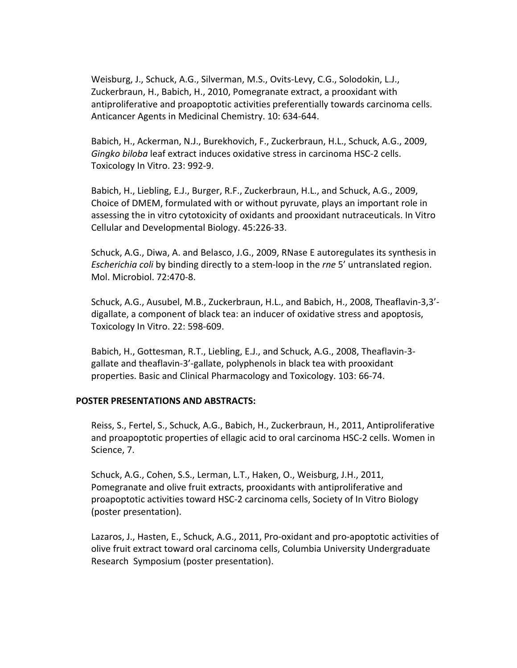Weisburg, J., Schuck, A.G., Silverman, M.S., Ovits‐Levy, C.G., Solodokin, L.J., Zuckerbraun, H., Babich, H., 2010, Pomegranate extract, a prooxidant with antiproliferative and proapoptotic activities preferentially towards carcinoma cells. Anticancer Agents in Medicinal Chemistry. 10: 634‐644.

Babich, H., Ackerman, N.J., Burekhovich, F., Zuckerbraun, H.L., Schuck, A.G., 2009, *Gingko biloba* leaf extract induces oxidative stress in carcinoma HSC‐2 cells. Toxicology In Vitro. 23: 992‐9.

Babich, H., Liebling, E.J., Burger, R.F., Zuckerbraun, H.L., and Schuck, A.G., 2009, Choice of DMEM, formulated with or without pyruvate, plays an important role in assessing the in vitro cytotoxicity of oxidants and prooxidant nutraceuticals. In Vitro Cellular and Developmental Biology. 45:226‐33.

Schuck, A.G., Diwa, A. and Belasco, J.G., 2009, RNase E autoregulates its synthesis in *Escherichia coli* by binding directly to a stem‐loop in the *rne* 5' untranslated region. Mol. Microbiol. 72:470‐8.

Schuck, A.G., Ausubel, M.B., Zuckerbraun, H.L., and Babich, H., 2008, Theaflavin‐3,3'‐ digallate, a component of black tea: an inducer of oxidative stress and apoptosis, Toxicology In Vitro. 22: 598‐609.

Babich, H., Gottesman, R.T., Liebling, E.J., and Schuck, A.G., 2008, Theaflavin‐3‐ gallate and theaflavin‐3'‐gallate, polyphenols in black tea with prooxidant properties. Basic and Clinical Pharmacology and Toxicology. 103: 66‐74.

# **POSTER PRESENTATIONS AND ABSTRACTS:**

Reiss, S., Fertel, S., Schuck, A.G., Babich, H., Zuckerbraun, H., 2011, Antiproliferative and proapoptotic properties of ellagic acid to oral carcinoma HSC‐2 cells. Women in Science, 7.

Schuck, A.G., Cohen, S.S., Lerman, L.T., Haken, O., Weisburg, J.H., 2011, Pomegranate and olive fruit extracts, prooxidants with antiproliferative and proapoptotic activities toward HSC‐2 carcinoma cells, Society of In Vitro Biology (poster presentation).

Lazaros, J., Hasten, E., Schuck, A.G., 2011, Pro‐oxidant and pro‐apoptotic activities of olive fruit extract toward oral carcinoma cells, Columbia University Undergraduate Research Symposium (poster presentation).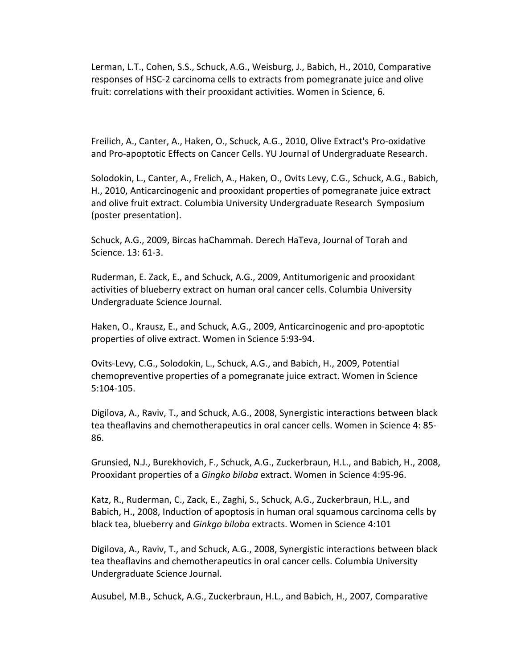Lerman, L.T., Cohen, S.S., Schuck, A.G., Weisburg, J., Babich, H., 2010, Comparative responses of HSC‐2 carcinoma cells to extracts from pomegranate juice and olive fruit: correlations with their prooxidant activities. Women in Science, 6.

Freilich, A., Canter, A., Haken, O., Schuck, A.G., 2010, Olive Extract's Pro‐oxidative and Pro‐apoptotic Effects on Cancer Cells. YU Journal of Undergraduate Research.

Solodokin, L., Canter, A., Frelich, A., Haken, O., Ovits Levy, C.G., Schuck, A.G., Babich, H., 2010, Anticarcinogenic and prooxidant properties of pomegranate juice extract and olive fruit extract. Columbia University Undergraduate Research Symposium (poster presentation).

Schuck, A.G., 2009, Bircas haChammah. Derech HaTeva, Journal of Torah and Science. 13: 61‐3.

Ruderman, E. Zack, E., and Schuck, A.G., 2009, Antitumorigenic and prooxidant activities of blueberry extract on human oral cancer cells. Columbia University Undergraduate Science Journal.

Haken, O., Krausz, E., and Schuck, A.G., 2009, Anticarcinogenic and pro‐apoptotic properties of olive extract. Women in Science 5:93‐94.

Ovits‐Levy, C.G., Solodokin, L., Schuck, A.G., and Babich, H., 2009, Potential chemopreventive properties of a pomegranate juice extract. Women in Science 5:104‐105.

Digilova, A., Raviv, T., and Schuck, A.G., 2008, Synergistic interactions between black tea theaflavins and chemotherapeutics in oral cancer cells. Women in Science 4: 85‐ 86.

Grunsied, N.J., Burekhovich, F., Schuck, A.G., Zuckerbraun, H.L., and Babich, H., 2008, Prooxidant properties of a *Gingko biloba* extract. Women in Science 4:95‐96.

Katz, R., Ruderman, C., Zack, E., Zaghi, S., Schuck, A.G., Zuckerbraun, H.L., and Babich, H., 2008, Induction of apoptosis in human oral squamous carcinoma cells by black tea, blueberry and *Ginkgo biloba* extracts. Women in Science 4:101

Digilova, A., Raviv, T., and Schuck, A.G., 2008, Synergistic interactions between black tea theaflavins and chemotherapeutics in oral cancer cells. Columbia University Undergraduate Science Journal.

Ausubel, M.B., Schuck, A.G., Zuckerbraun, H.L., and Babich, H., 2007, Comparative